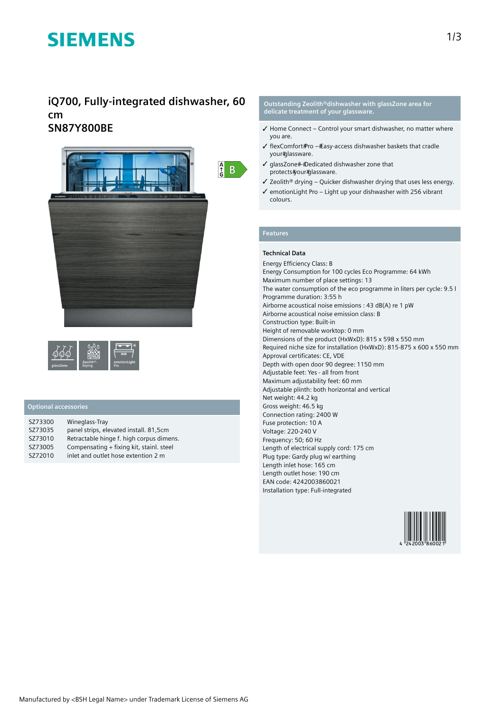# **SIEMENS**

## **iQ700, Fully-integrated dishwasher, 60 cm SN87Y800BE**



### **Optional accessories**

| SZ73300 | Wineglass-Tray                           |
|---------|------------------------------------------|
| SZ73035 | panel strips, elevated install. 81,5cm   |
| SZ73010 | Retractable hinge f. high corpus dimens. |
| SZ73005 | Compensating + fixing kit, stainl. steel |
| SZ72010 | inlet and outlet hose extention 2 m      |

**Outstanding Zeolith®dishwasher with glassZone area for delicate treatment of your glassware.**

- $\checkmark$  Home Connect Control your smart dishwasher, no matter where you are.
- ✓ flexComfort Pro Easy-access dishwasher baskets that cradle your#glassware.
- $\checkmark$  qlassZone##Dedicated dishwasher zone that protects#your#glassware.
- ✓ Zeolith® drying Quicker dishwasher drying that uses less energy.
- ✓ emotionLight Pro Light up your dishwasher with 256 vibrant colours.

### **Features**

#### **Technical Data**

Energy Efficiency Class: B Energy Consumption for 100 cycles Eco Programme: 64 kWh Maximum number of place settings: 13 The water consumption of the eco programme in liters per cycle: 9.5 l Programme duration: 3:55 h Airborne acoustical noise emissions : 43 dB(A) re 1 pW Airborne acoustical noise emission class: B Construction type: Built-in Height of removable worktop: 0 mm Dimensions of the product (HxWxD): 815 x 598 x 550 mm Required niche size for installation (HxWxD): 815-875 x 600 x 550 mm Approval certificates: CE, VDE Depth with open door 90 degree: 1150 mm Adjustable feet: Yes - all from front Maximum adjustability feet: 60 mm Adjustable plinth: both horizontal and vertical Net weight: 44.2 kg Gross weight: 46.5 kg Connection rating: 2400 W Fuse protection: 10 A Voltage: 220-240 V Frequency: 50; 60 Hz Length of electrical supply cord: 175 cm Plug type: Gardy plug w/ earthing Length inlet hose: 165 cm Length outlet hose: 190 cm EAN code: 4242003860021 Installation type: Full-integrated

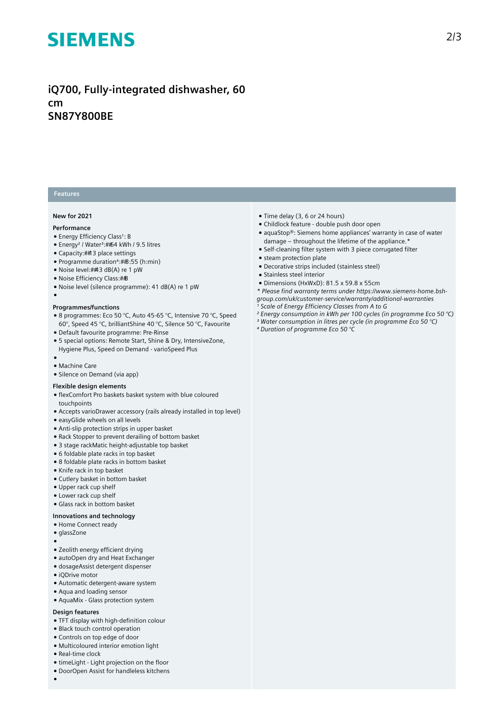# **SIEMENS**

## **iQ700, Fully-integrated dishwasher, 60 cm SN87Y800BE**

### **Features**

#### **New for 2021**

#### **Performance**

●

- Energy Efficiency Class<sup>1</sup>: B
- Energy<sup>2</sup> / Water<sup>3</sup>:##64 kWh / 9.5 litres
- Capacity: 13 place settings
- Programme duration⁴: 3:55 (h:min)
- Noise level:##3 dB(A) re 1 pW
- Noise Efficiency Class: #B
- Noise level (silence programme): 41 dB(A) re 1 pW

#### **Programmes/functions**

- 8 programmes: Eco 50 °C, Auto 45-65 °C, Intensive 70 °C, Speed 60°, Speed 45 °C, brilliantShine 40 °C, Silence 50 °C, Favourite
- Default favourite programme: Pre-Rinse
- 5 special options: Remote Start, Shine & Dry, IntensiveZone, Hygiene Plus, Speed on Demand - varioSpeed Plus
- ● Machine Care
- Silence on Demand (via app)

#### **Flexible design elements**

- flexComfort Pro baskets basket system with blue coloured touchpoints
- Accepts varioDrawer accessory (rails already installed in top level)
- easyGlide wheels on all levels
- Anti-slip protection strips in upper basket
- Rack Stopper to prevent derailing of bottom basket
- 3 stage rackMatic height-adjustable top basket
- 6 foldable plate racks in top basket
- 8 foldable plate racks in bottom basket
- Knife rack in top basket
- Cutlery basket in bottom basket
- Upper rack cup shelf
- Lower rack cup shelf
- Glass rack in bottom basket

#### **Innovations and technology**

- Home Connect ready
- glassZone
- ●
- Zeolith energy efficient drying
- autoOpen dry and Heat Exchanger
- dosageAssist detergent dispenser
- iQDrive motor
- Automatic detergent-aware system
- Aqua and loading sensor
- AquaMix Glass protection system

#### **Design features**

- TFT display with high-definition colour
- Black touch control operation
- Controls on top edge of door
- Multicoloured interior emotion light
- Real-time clock
- timeLight Light projection on the floor
- DoorOpen Assist for handleless kitchens
- ●
- Time delay (3, 6 or 24 hours)
- Childlock feature double push door open
- aquaStop®: Siemens home appliances' warranty in case of water damage – throughout the lifetime of the appliance.\*
- Self-cleaning filter system with 3 piece corrugated filter
- steam protection plate
- Decorative strips included (stainless steel)
- Stainless steel interior
- Dimensions (HxWxD): 81.5 x 59.8 x 55cm
- *\* Please find warranty terms under https://www.siemens-home.bshgroup.com/uk/customer-service/warranty/additional-warranties*
- <sup>1</sup> Scale of Energy Efficiency Classes from A to G
- *² Energy consumption in kWh per 100 cycles (in programme Eco 50 °C)*
- *³ Water consumption in litres per cycle (in programme Eco 50 °C)*
- *⁴ Duration of programme Eco 50 °C*